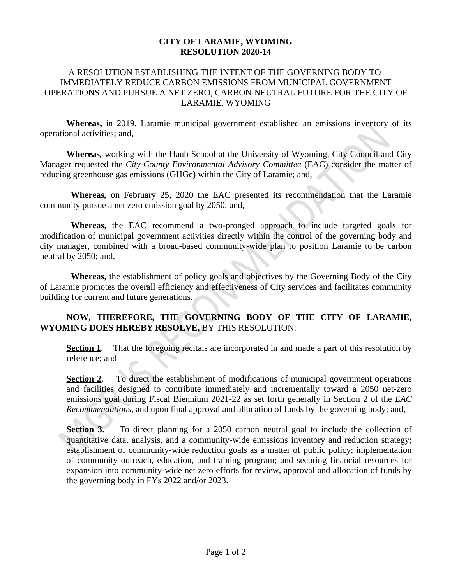## **CITY OF LARAMIE, WYOMING RESOLUTION 2020-14**

## A RESOLUTION ESTABLISHING THE INTENT OF THE GOVERNING BODY TO IMMEDIATELY REDUCE CARBON EMISSIONS FROM MUNICIPAL GOVERNMENT OPERATIONS AND PURSUE A NET ZERO, CARBON NEUTRAL FUTURE FOR THE CITY OF LARAMIE, WYOMING

**Whereas,** in 2019, Laramie municipal government established an emissions inventory of its operational activities; and,

**Whereas***,* working with the Haub School at the University of Wyoming, City Council and City Manager requested the *City-County Environmental Advisory Committee* (EAC) consider the matter of reducing greenhouse gas emissions (GHGe) within the City of Laramie; and,

**Whereas***,* on February 25, 2020 the EAC presented its recommendation that the Laramie community pursue a net zero emission goal by 2050; and,

**Whereas,** the EAC recommend a two-pronged approach to include targeted goals for modification of municipal government activities directly within the control of the governing body and city manager, combined with a broad-based community-wide plan to position Laramie to be carbon neutral by 2050; and,

**Whereas,** the establishment of policy goals and objectives by the Governing Body of the City of Laramie promotes the overall efficiency and effectiveness of City services and facilitates community building for current and future generations.

## **NOW, THEREFORE, THE GOVERNING BODY OF THE CITY OF LARAMIE, WYOMING DOES HEREBY RESOLVE,** BY THIS RESOLUTION:

**Section 1**. That the foregoing recitals are incorporated in and made a part of this resolution by reference; and

**Section 2.** To direct the establishment of modifications of municipal government operations and facilities designed to contribute immediately and incrementally toward a 2050 net-zero emissions goal during Fiscal Biennium 2021-22 as set forth generally in Section 2 of the *EAC Recommendations*, and upon final approval and allocation of funds by the governing body; and,

**Section 3**. To direct planning for a 2050 carbon neutral goal to include the collection of quantitative data, analysis, and a community-wide emissions inventory and reduction strategy; establishment of community-wide reduction goals as a matter of public policy; implementation of community outreach, education, and training program; and securing financial resources for expansion into community-wide net zero efforts for review, approval and allocation of funds by the governing body in FYs 2022 and/or 2023.